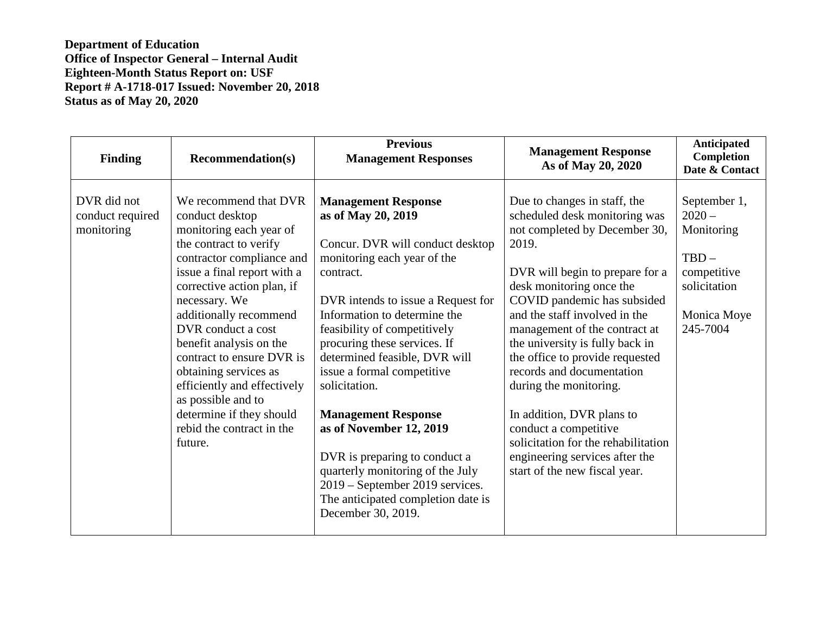**Department of Education Office of Inspector General – Internal Audit Eighteen-Month Status Report on: USF Report # A-1718-017 Issued: November 20, 2018 Status as of May 20, 2020** 

| <b>Finding</b>                                | <b>Recommendation(s)</b>                                                                                                                                                                                                                                                                                                                                                                                                                                           | <b>Previous</b><br><b>Management Responses</b>                                                                                                                                                                                                                                                                                                                                                                                                                                                                                                                                      | <b>Management Response</b><br>As of May 20, 2020                                                                                                                                                                                                                                                                                                                                                                                                                                                                                                                     | <b>Anticipated</b><br>Completion<br>Date & Contact                                                          |
|-----------------------------------------------|--------------------------------------------------------------------------------------------------------------------------------------------------------------------------------------------------------------------------------------------------------------------------------------------------------------------------------------------------------------------------------------------------------------------------------------------------------------------|-------------------------------------------------------------------------------------------------------------------------------------------------------------------------------------------------------------------------------------------------------------------------------------------------------------------------------------------------------------------------------------------------------------------------------------------------------------------------------------------------------------------------------------------------------------------------------------|----------------------------------------------------------------------------------------------------------------------------------------------------------------------------------------------------------------------------------------------------------------------------------------------------------------------------------------------------------------------------------------------------------------------------------------------------------------------------------------------------------------------------------------------------------------------|-------------------------------------------------------------------------------------------------------------|
| DVR did not<br>conduct required<br>monitoring | We recommend that DVR<br>conduct desktop<br>monitoring each year of<br>the contract to verify<br>contractor compliance and<br>issue a final report with a<br>corrective action plan, if<br>necessary. We<br>additionally recommend<br>DVR conduct a cost<br>benefit analysis on the<br>contract to ensure DVR is<br>obtaining services as<br>efficiently and effectively<br>as possible and to<br>determine if they should<br>rebid the contract in the<br>future. | <b>Management Response</b><br>as of May 20, 2019<br>Concur. DVR will conduct desktop<br>monitoring each year of the<br>contract.<br>DVR intends to issue a Request for<br>Information to determine the<br>feasibility of competitively<br>procuring these services. If<br>determined feasible, DVR will<br>issue a formal competitive<br>solicitation.<br><b>Management Response</b><br>as of November 12, 2019<br>DVR is preparing to conduct a<br>quarterly monitoring of the July<br>2019 - September 2019 services.<br>The anticipated completion date is<br>December 30, 2019. | Due to changes in staff, the<br>scheduled desk monitoring was<br>not completed by December 30,<br>2019.<br>DVR will begin to prepare for a<br>desk monitoring once the<br>COVID pandemic has subsided<br>and the staff involved in the<br>management of the contract at<br>the university is fully back in<br>the office to provide requested<br>records and documentation<br>during the monitoring.<br>In addition, DVR plans to<br>conduct a competitive<br>solicitation for the rehabilitation<br>engineering services after the<br>start of the new fiscal year. | September 1,<br>$2020 -$<br>Monitoring<br>$TBD -$<br>competitive<br>solicitation<br>Monica Moye<br>245-7004 |